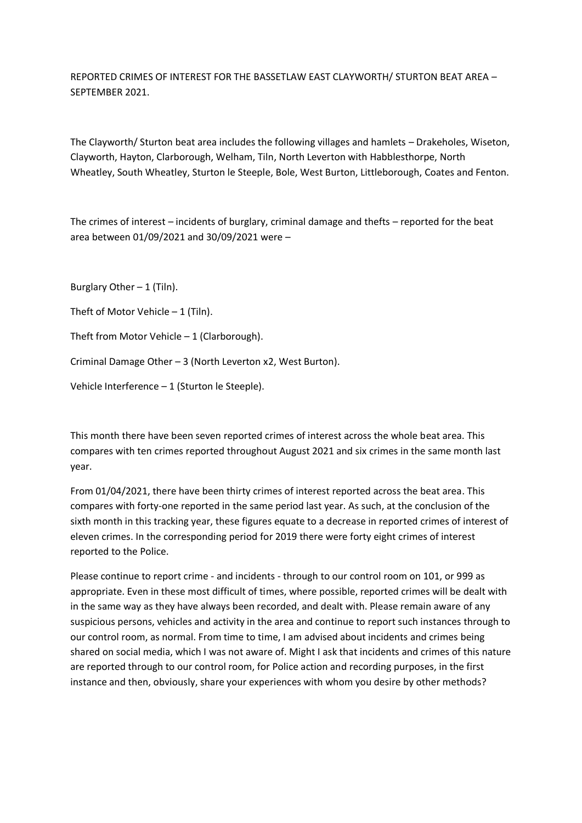REPORTED CRIMES OF INTEREST FOR THE BASSETLAW EAST CLAYWORTH/ STURTON BEAT AREA – SEPTEMBER 2021.

The Clayworth/ Sturton beat area includes the following villages and hamlets – Drakeholes, Wiseton, Clayworth, Hayton, Clarborough, Welham, Tiln, North Leverton with Habblesthorpe, North Wheatley, South Wheatley, Sturton le Steeple, Bole, West Burton, Littleborough, Coates and Fenton.

The crimes of interest – incidents of burglary, criminal damage and thefts – reported for the beat area between 01/09/2021 and 30/09/2021 were –

Burglary Other  $-1$  (Tiln).

Theft of Motor Vehicle  $-1$  (Tiln).

Theft from Motor Vehicle – 1 (Clarborough).

Criminal Damage Other – 3 (North Leverton x2, West Burton).

Vehicle Interference – 1 (Sturton le Steeple).

This month there have been seven reported crimes of interest across the whole beat area. This compares with ten crimes reported throughout August 2021 and six crimes in the same month last year.

From 01/04/2021, there have been thirty crimes of interest reported across the beat area. This compares with forty-one reported in the same period last year. As such, at the conclusion of the sixth month in this tracking year, these figures equate to a decrease in reported crimes of interest of eleven crimes. In the corresponding period for 2019 there were forty eight crimes of interest reported to the Police.

Please continue to report crime - and incidents - through to our control room on 101, or 999 as appropriate. Even in these most difficult of times, where possible, reported crimes will be dealt with in the same way as they have always been recorded, and dealt with. Please remain aware of any suspicious persons, vehicles and activity in the area and continue to report such instances through to our control room, as normal. From time to time, I am advised about incidents and crimes being shared on social media, which I was not aware of. Might I ask that incidents and crimes of this nature are reported through to our control room, for Police action and recording purposes, in the first instance and then, obviously, share your experiences with whom you desire by other methods?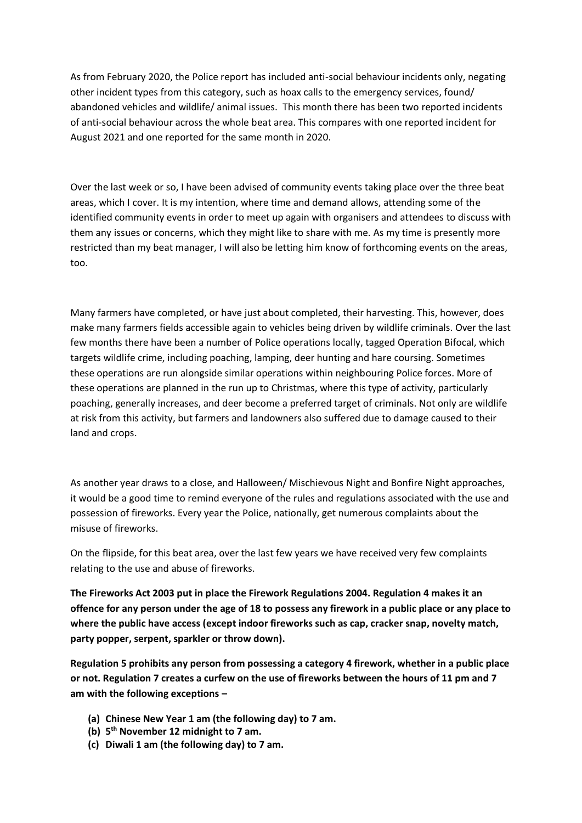As from February 2020, the Police report has included anti-social behaviour incidents only, negating other incident types from this category, such as hoax calls to the emergency services, found/ abandoned vehicles and wildlife/ animal issues. This month there has been two reported incidents of anti-social behaviour across the whole beat area. This compares with one reported incident for August 2021 and one reported for the same month in 2020.

Over the last week or so, I have been advised of community events taking place over the three beat areas, which I cover. It is my intention, where time and demand allows, attending some of the identified community events in order to meet up again with organisers and attendees to discuss with them any issues or concerns, which they might like to share with me. As my time is presently more restricted than my beat manager, I will also be letting him know of forthcoming events on the areas, too.

Many farmers have completed, or have just about completed, their harvesting. This, however, does make many farmers fields accessible again to vehicles being driven by wildlife criminals. Over the last few months there have been a number of Police operations locally, tagged Operation Bifocal, which targets wildlife crime, including poaching, lamping, deer hunting and hare coursing. Sometimes these operations are run alongside similar operations within neighbouring Police forces. More of these operations are planned in the run up to Christmas, where this type of activity, particularly poaching, generally increases, and deer become a preferred target of criminals. Not only are wildlife at risk from this activity, but farmers and landowners also suffered due to damage caused to their land and crops.

As another year draws to a close, and Halloween/ Mischievous Night and Bonfire Night approaches, it would be a good time to remind everyone of the rules and regulations associated with the use and possession of fireworks. Every year the Police, nationally, get numerous complaints about the misuse of fireworks.

On the flipside, for this beat area, over the last few years we have received very few complaints relating to the use and abuse of fireworks.

**The Fireworks Act 2003 put in place the Firework Regulations 2004. Regulation 4 makes it an offence for any person under the age of 18 to possess any firework in a public place or any place to where the public have access (except indoor fireworks such as cap, cracker snap, novelty match, party popper, serpent, sparkler or throw down).**

**Regulation 5 prohibits any person from possessing a category 4 firework, whether in a public place or not. Regulation 7 creates a curfew on the use of fireworks between the hours of 11 pm and 7 am with the following exceptions –**

- **(a) Chinese New Year 1 am (the following day) to 7 am.**
- **(b) 5 th November 12 midnight to 7 am.**
- **(c) Diwali 1 am (the following day) to 7 am.**